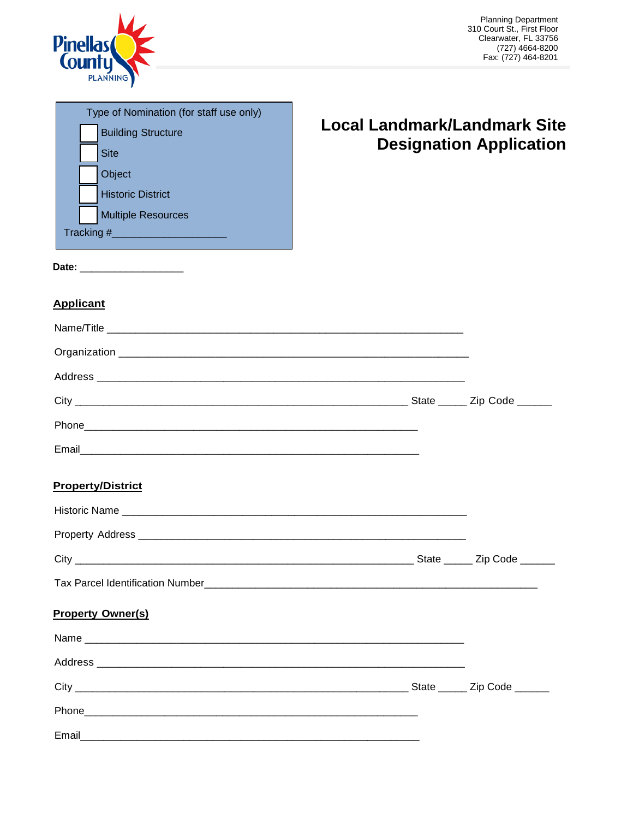

| Type of Nomination (for staff use only) |  |
|-----------------------------------------|--|
| <b>Building Structure</b>               |  |
| <b>Site</b>                             |  |
| Object                                  |  |
| <b>Historic District</b>                |  |
| <b>Multiple Resources</b>               |  |
| Tracking #                              |  |
|                                         |  |

# **Local Landmark/Landmark Site Designation Application**

**Date:** \_\_\_\_\_\_\_\_\_\_\_\_\_\_\_\_\_\_

# **Applicant**

| <b>Property/District</b> |  |
|--------------------------|--|

# **Property/District**

|                                  | State _______ Zip Code _______ |
|----------------------------------|--------------------------------|
| Tax Parcel Identification Number |                                |

# **Property Owner(s)**

|  | State ______ Zip Code ______ |
|--|------------------------------|
|  |                              |
|  |                              |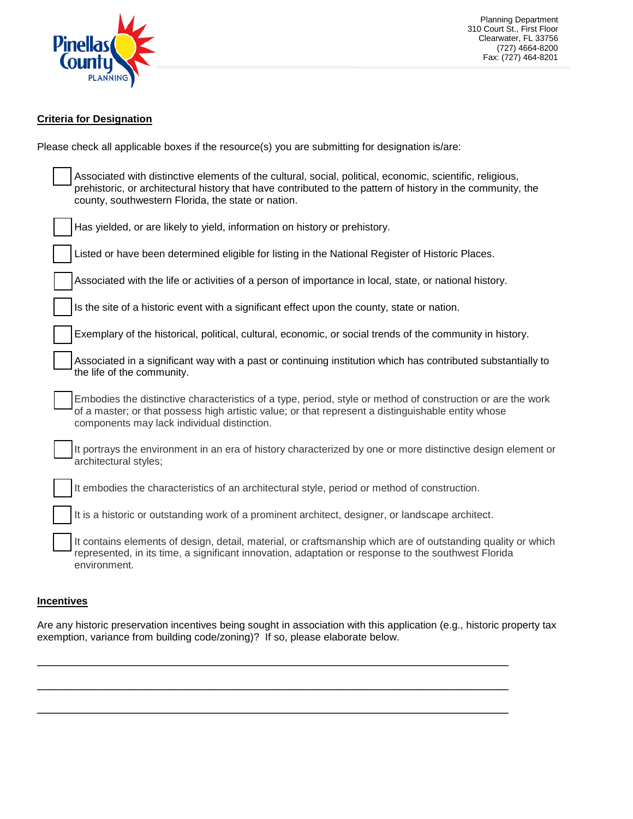

Planning Department 310 Court St., First Floor Clearwater, FL 33756 (727) 4664-8200 Fax: (727) 464-8201

## **Criteria for Designation**

Please check all applicable boxes if the resource(s) you are submitting for designation is/are:

| Associated with distinctive elements of the cultural, social, political, economic, scientific, religious,<br>prehistoric, or architectural history that have contributed to the pattern of history in the community, the<br>county, southwestern Florida, the state or nation. |
|--------------------------------------------------------------------------------------------------------------------------------------------------------------------------------------------------------------------------------------------------------------------------------|
| Has yielded, or are likely to yield, information on history or prehistory.                                                                                                                                                                                                     |
| Listed or have been determined eligible for listing in the National Register of Historic Places.                                                                                                                                                                               |
| Associated with the life or activities of a person of importance in local, state, or national history.                                                                                                                                                                         |
| Is the site of a historic event with a significant effect upon the county, state or nation.                                                                                                                                                                                    |
| Exemplary of the historical, political, cultural, economic, or social trends of the community in history.                                                                                                                                                                      |
| Associated in a significant way with a past or continuing institution which has contributed substantially to<br>the life of the community.                                                                                                                                     |
| Embodies the distinctive characteristics of a type, period, style or method of construction or are the work<br>of a master; or that possess high artistic value; or that represent a distinguishable entity whose<br>components may lack individual distinction.               |
| It portrays the environment in an era of history characterized by one or more distinctive design element or<br>architectural styles;                                                                                                                                           |
| It embodies the characteristics of an architectural style, period or method of construction.                                                                                                                                                                                   |
| It is a historic or outstanding work of a prominent architect, designer, or landscape architect.                                                                                                                                                                               |
| It contains elements of design, detail, material, or craftsmanship which are of outstanding quality or which<br>represented, in its time, a significant innovation, adaptation or response to the southwest Florida<br>environment.                                            |

#### **Incentives**

Are any historic preservation incentives being sought in association with this application (e.g., historic property tax exemption, variance from building code/zoning)? If so, please elaborate below.

\_\_\_\_\_\_\_\_\_\_\_\_\_\_\_\_\_\_\_\_\_\_\_\_\_\_\_\_\_\_\_\_\_\_\_\_\_\_\_\_\_\_\_\_\_\_\_\_\_\_\_\_\_\_\_\_\_\_\_\_\_\_\_\_\_\_\_\_\_\_\_\_\_\_\_\_\_\_\_\_\_\_

\_\_\_\_\_\_\_\_\_\_\_\_\_\_\_\_\_\_\_\_\_\_\_\_\_\_\_\_\_\_\_\_\_\_\_\_\_\_\_\_\_\_\_\_\_\_\_\_\_\_\_\_\_\_\_\_\_\_\_\_\_\_\_\_\_\_\_\_\_\_\_\_\_\_\_\_\_\_\_\_\_\_

\_\_\_\_\_\_\_\_\_\_\_\_\_\_\_\_\_\_\_\_\_\_\_\_\_\_\_\_\_\_\_\_\_\_\_\_\_\_\_\_\_\_\_\_\_\_\_\_\_\_\_\_\_\_\_\_\_\_\_\_\_\_\_\_\_\_\_\_\_\_\_\_\_\_\_\_\_\_\_\_\_\_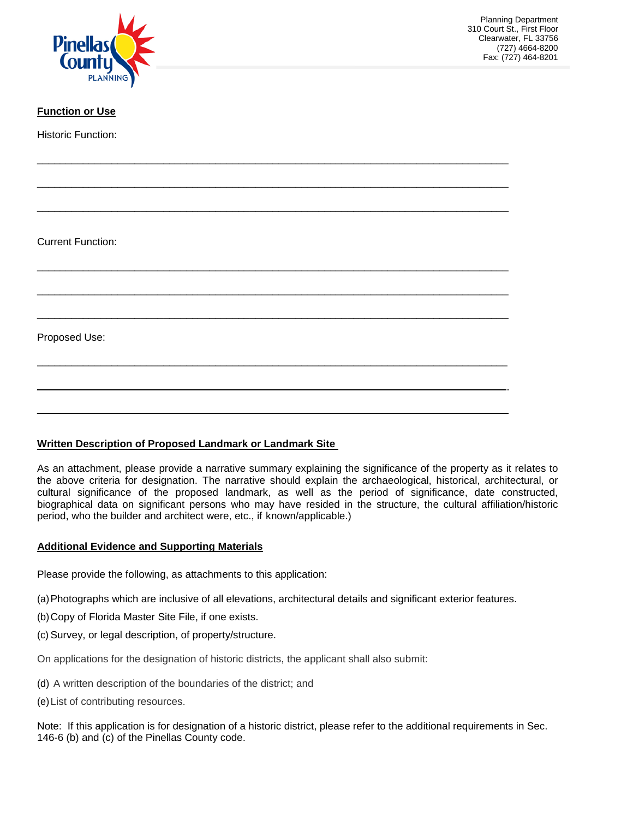

# **Function or Use**

Historic Function:

Current Function:

Proposed Use:

## **Written Description of Proposed Landmark or Landmark Site**

As an attachment, please provide a narrative summary explaining the significance of the property as it relates to the above criteria for designation. The narrative should explain the archaeological, historical, architectural, or cultural significance of the proposed landmark, as well as the period of significance, date constructed, biographical data on significant persons who may have resided in the structure, the cultural affiliation/historic period, who the builder and architect were, etc., if known/applicable.)

## **Additional Evidence and Supporting Materials**

Please provide the following, as attachments to this application:

(a)Photographs which are inclusive of all elevations, architectural details and significant exterior features.

\_\_\_\_\_\_\_\_\_\_\_\_\_\_\_\_\_\_\_\_\_\_\_\_\_\_\_\_\_\_\_\_\_\_\_\_\_\_\_\_\_\_\_\_\_\_\_\_\_\_\_\_\_\_\_\_\_\_\_\_\_\_\_\_\_\_\_\_\_\_\_\_\_\_\_\_\_\_\_\_\_\_

\_\_\_\_\_\_\_\_\_\_\_\_\_\_\_\_\_\_\_\_\_\_\_\_\_\_\_\_\_\_\_\_\_\_\_\_\_\_\_\_\_\_\_\_\_\_\_\_\_\_\_\_\_\_\_\_\_\_\_\_\_\_\_\_\_\_\_\_\_\_\_\_\_\_\_\_\_\_\_\_\_\_

\_\_\_\_\_\_\_\_\_\_\_\_\_\_\_\_\_\_\_\_\_\_\_\_\_\_\_\_\_\_\_\_\_\_\_\_\_\_\_\_\_\_\_\_\_\_\_\_\_\_\_\_\_\_\_\_\_\_\_\_\_\_\_\_\_\_\_\_\_\_\_\_\_\_\_\_\_\_\_\_\_\_

\_\_\_\_\_\_\_\_\_\_\_\_\_\_\_\_\_\_\_\_\_\_\_\_\_\_\_\_\_\_\_\_\_\_\_\_\_\_\_\_\_\_\_\_\_\_\_\_\_\_\_\_\_\_\_\_\_\_\_\_\_\_\_\_\_\_\_\_\_\_\_\_\_\_\_\_\_\_\_\_\_\_

\_\_\_\_\_\_\_\_\_\_\_\_\_\_\_\_\_\_\_\_\_\_\_\_\_\_\_\_\_\_\_\_\_\_\_\_\_\_\_\_\_\_\_\_\_\_\_\_\_\_\_\_\_\_\_\_\_\_\_\_\_\_\_\_\_\_\_\_\_\_\_\_\_\_\_\_\_\_\_\_\_\_

\_\_\_\_\_\_\_\_\_\_\_\_\_\_\_\_\_\_\_\_\_\_\_\_\_\_\_\_\_\_\_\_\_\_\_\_\_\_\_\_\_\_\_\_\_\_\_\_\_\_\_\_\_\_\_\_\_\_\_\_\_\_\_\_\_\_\_\_\_\_\_\_\_\_\_\_\_\_\_\_\_\_

\_\_\_\_\_\_\_\_\_\_\_\_\_\_\_\_\_\_\_\_\_\_\_\_\_\_\_\_\_\_\_\_\_\_\_\_\_\_\_\_\_\_\_\_\_\_\_\_\_\_\_\_\_\_\_\_\_\_\_\_\_\_\_\_\_\_\_\_\_\_\_\_\_\_\_\_\_\_\_\_\_\_

\_\_\_\_\_\_\_\_\_\_\_\_\_\_\_\_\_\_\_\_\_\_\_\_\_\_\_\_\_\_\_\_\_\_\_\_\_\_\_\_\_\_\_\_\_\_\_\_\_\_\_\_\_\_\_\_\_\_\_\_\_\_\_\_\_\_\_\_\_\_\_\_\_\_\_\_\_\_\_\_\_\_

\_\_\_\_\_\_\_\_\_\_\_\_\_\_\_\_\_\_\_\_\_\_\_\_\_\_\_\_\_\_\_\_\_\_\_\_\_\_\_\_\_\_\_\_\_\_\_\_\_\_\_\_\_\_\_\_\_\_\_\_\_\_\_\_\_\_\_\_\_\_\_\_\_\_\_\_\_\_\_\_\_\_

- (b)Copy of Florida Master Site File, if one exists.
- (c) Survey, or legal description, of property/structure.

On applications for the designation of historic districts, the applicant shall also submit:

- (d) A written description of the boundaries of the district; and
- (e)List of contributing resources.

Note: If this application is for designation of a historic district, please refer to the additional requirements in Sec. 146-6 (b) and (c) of the Pinellas County code.